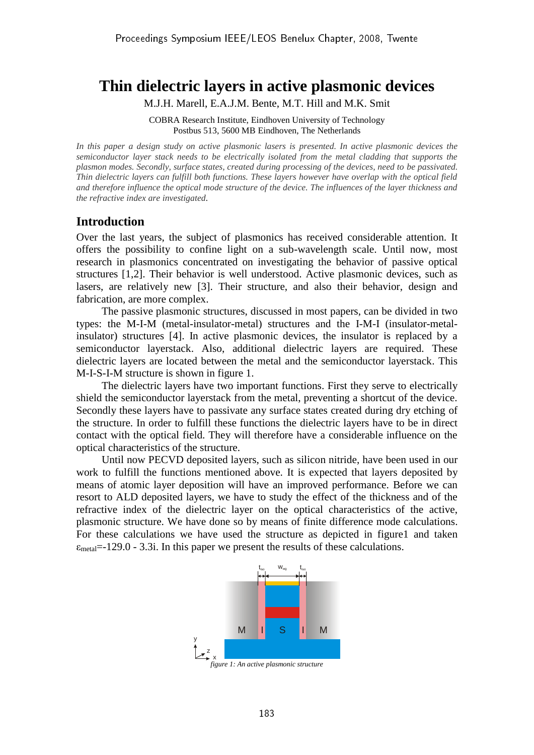# **Thin dielectric layers in active plasmonic devices**

M.J.H. Marell, E.A.J.M. Bente, M.T. Hill and M.K. Smit

COBRA Research Institute, Eindhoven University of Technology Postbus 513, 5600 MB Eindhoven, The Netherlands

*In this paper a design study on active plasmonic lasers is presented. In active plasmonic devices the semiconductor layer stack needs to be electrically isolated from the metal cladding that supports the plasmon modes. Secondly, surface states, created during processing of the devices, need to be passivated. Thin dielectric layers can fulfill both functions. These layers however have overlap with the optical field and therefore influence the optical mode structure of the device. The influences of the layer thickness and the refractive index are investigated.* 

## **Introduction**

Over the last years, the subject of plasmonics has received considerable attention. It offers the possibility to confine light on a sub-wavelength scale. Until now, most research in plasmonics concentrated on investigating the behavior of passive optical structures [1,2]. Their behavior is well understood. Active plasmonic devices, such as lasers, are relatively new [3]. Their structure, and also their behavior, design and fabrication, are more complex.

The passive plasmonic structures, discussed in most papers, can be divided in two types: the M-I-M (metal-insulator-metal) structures and the I-M-I (insulator-metalinsulator) structures [4]. In active plasmonic devices, the insulator is replaced by a semiconductor layerstack. Also, additional dielectric layers are required. These dielectric layers are located between the metal and the semiconductor layerstack. This M-I-S-I-M structure is shown in figure 1.

The dielectric layers have two important functions. First they serve to electrically shield the semiconductor layerstack from the metal, preventing a shortcut of the device. Secondly these layers have to passivate any surface states created during dry etching of the structure. In order to fulfill these functions the dielectric layers have to be in direct contact with the optical field. They will therefore have a considerable influence on the optical characteristics of the structure.

Until now PECVD deposited layers, such as silicon nitride, have been used in our work to fulfill the functions mentioned above. It is expected that layers deposited by means of atomic layer deposition will have an improved performance. Before we can resort to ALD deposited layers, we have to study the effect of the thickness and of the refractive index of the dielectric layer on the optical characteristics of the active, plasmonic structure. We have done so by means of finite difference mode calculations. For these calculations we have used the structure as depicted in figure1 and taken  $\varepsilon_{\text{metal}}$ =-129.0 - 3.3i. In this paper we present the results of these calculations.



*figure 1: An active plasmonic structure*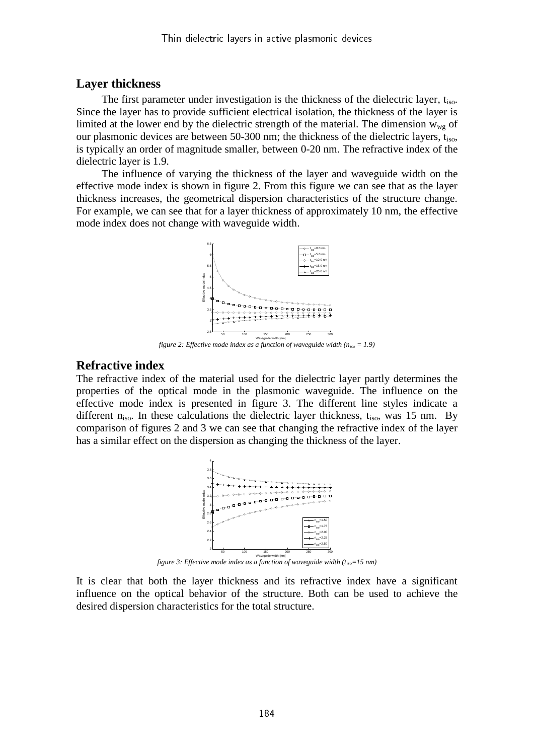### **Layer thickness**

The first parameter under investigation is the thickness of the dielectric layer,  $t_{\text{iso}}$ . Since the layer has to provide sufficient electrical isolation, the thickness of the layer is limited at the lower end by the dielectric strength of the material. The dimension  $w_{we}$  of our plasmonic devices are between 50-300 nm; the thickness of the dielectric layers, t<sub>iso</sub>, is typically an order of magnitude smaller, between 0-20 nm. The refractive index of the dielectric layer is 1.9.

The influence of varying the thickness of the layer and waveguide width on the effective mode index is shown in figure 2. From this figure we can see that as the layer thickness increases, the geometrical dispersion characteristics of the structure change. For example, we can see that for a layer thickness of approximately 10 nm, the effective mode index does not change with waveguide width.



*figure 2: Effective mode index as a function of waveguide width (niso = 1.9)*

#### **Refractive index**

The refractive index of the material used for the dielectric layer partly determines the properties of the optical mode in the plasmonic waveguide. The influence on the effective mode index is presented in figure 3. The different line styles indicate a different  $n_{iso}$ . In these calculations the dielectric layer thickness,  $t_{iso}$ , was 15 nm. By comparison of figures 2 and 3 we can see that changing the refractive index of the layer has a similar effect on the dispersion as changing the thickness of the layer.



*figure 3: Effective mode index as a function of waveguide width (tiso=15 nm)*

It is clear that both the layer thickness and its refractive index have a significant influence on the optical behavior of the structure. Both can be used to achieve the desired dispersion characteristics for the total structure.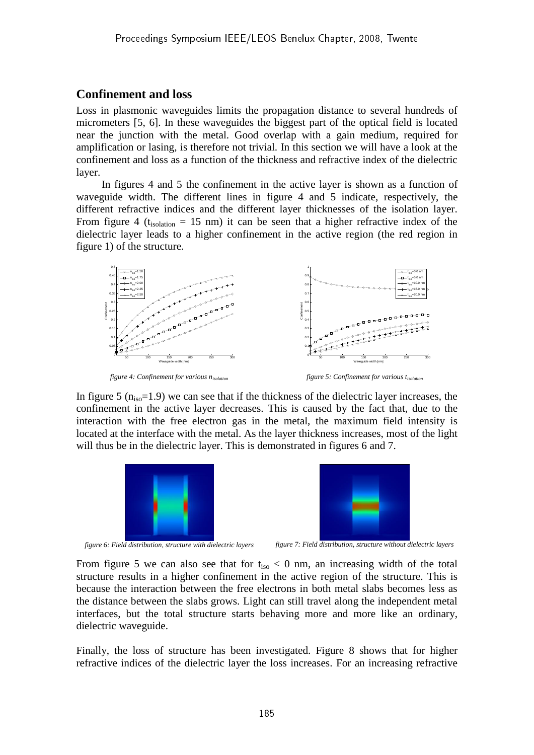# **Confinement and loss**

Loss in plasmonic waveguides limits the propagation distance to several hundreds of micrometers [5, 6]. In these waveguides the biggest part of the optical field is located near the junction with the metal. Good overlap with a gain medium, required for amplification or lasing, is therefore not trivial. In this section we will have a look at the confinement and loss as a function of the thickness and refractive index of the dielectric layer.

In figures 4 and 5 the confinement in the active layer is shown as a function of waveguide width. The different lines in figure 4 and 5 indicate, respectively, the different refractive indices and the different layer thicknesses of the isolation layer. From figure 4 ( $t_{isolation} = 15$  nm) it can be seen that a higher refractive index of the dielectric layer leads to a higher confinement in the active region (the red region in figure 1) of the structure.



*figure 4: Confinement for various nisolation*

*figure 5: Confinement for various tisolation*

In figure 5  $(n<sub>iso</sub>=1.9)$  we can see that if the thickness of the dielectric layer increases, the confinement in the active layer decreases. This is caused by the fact that, due to the interaction with the free electron gas in the metal, the maximum field intensity is located at the interface with the metal. As the layer thickness increases, most of the light will thus be in the dielectric layer. This is demonstrated in figures 6 and 7.





*figure 6: Field distribution, structure with dielectric layers figure 7: Field distribution, structure without dielectric layers*

From figure 5 we can also see that for  $t_{iso} < 0$  nm, an increasing width of the total structure results in a higher confinement in the active region of the structure. This is because the interaction between the free electrons in both metal slabs becomes less as the distance between the slabs grows. Light can still travel along the independent metal interfaces, but the total structure starts behaving more and more like an ordinary, dielectric waveguide.

Finally, the loss of structure has been investigated. Figure 8 shows that for higher refractive indices of the dielectric layer the loss increases. For an increasing refractive